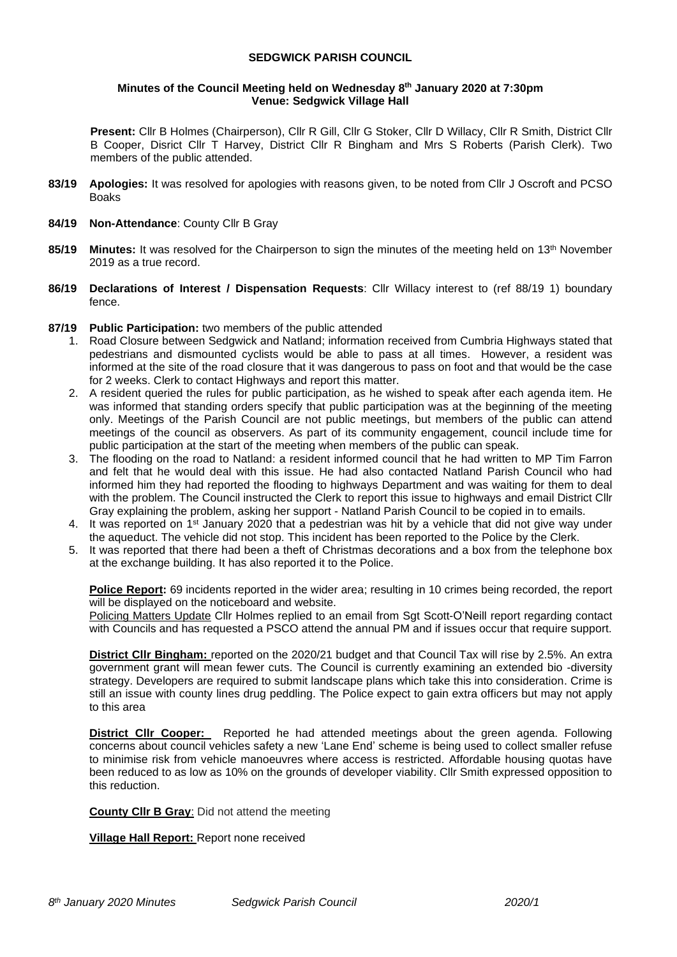### **SEDGWICK PARISH COUNCIL**

#### **Minutes of the Council Meeting held on Wednesday 8 th January 2020 at 7:30pm Venue: Sedgwick Village Hall**

**Present:** Cllr B Holmes (Chairperson), Cllr R Gill, Cllr G Stoker, Cllr D Willacy, Cllr R Smith, District Cllr B Cooper, Disrict Cllr T Harvey, District Cllr R Bingham and Mrs S Roberts (Parish Clerk). Two members of the public attended.

- **83/19 Apologies:** It was resolved for apologies with reasons given, to be noted from Cllr J Oscroft and PCSO Boaks
- **84/19 Non-Attendance**: County Cllr B Gray
- **85/19 Minutes:** It was resolved for the Chairperson to sign the minutes of the meeting held on 13th November 2019 as a true record.
- **86/19 Declarations of Interest / Dispensation Requests**: Cllr Willacy interest to (ref 88/19 1) boundary fence.
- **87/19 Public Participation:** two members of the public attended
	- 1. Road Closure between Sedgwick and Natland; information received from Cumbria Highways stated that pedestrians and dismounted cyclists would be able to pass at all times. However, a resident was informed at the site of the road closure that it was dangerous to pass on foot and that would be the case for 2 weeks. Clerk to contact Highways and report this matter.
	- 2. A resident queried the rules for public participation, as he wished to speak after each agenda item. He was informed that standing orders specify that public participation was at the beginning of the meeting only. Meetings of the Parish Council are not public meetings, but members of the public can attend meetings of the council as observers. As part of its community engagement, council include time for public participation at the start of the meeting when members of the public can speak.
	- 3. The flooding on the road to Natland: a resident informed council that he had written to MP Tim Farron and felt that he would deal with this issue. He had also contacted Natland Parish Council who had informed him they had reported the flooding to highways Department and was waiting for them to deal with the problem. The Council instructed the Clerk to report this issue to highways and email District Cllr Gray explaining the problem, asking her support - Natland Parish Council to be copied in to emails.
	- 4. It was reported on 1<sup>st</sup> January 2020 that a pedestrian was hit by a vehicle that did not give way under the aqueduct. The vehicle did not stop. This incident has been reported to the Police by the Clerk.
	- 5. It was reported that there had been a theft of Christmas decorations and a box from the telephone box at the exchange building. It has also reported it to the Police.

**Police Report:** 69 incidents reported in the wider area; resulting in 10 crimes being recorded, the report will be displayed on the noticeboard and website.

Policing Matters Update Cllr Holmes replied to an email from Sgt Scott-O'Neill report regarding contact with Councils and has requested a PSCO attend the annual PM and if issues occur that require support.

**District Cllr Bingham:** reported on the 2020/21 budget and that Council Tax will rise by 2.5%. An extra government grant will mean fewer cuts. The Council is currently examining an extended bio -diversity strategy. Developers are required to submit landscape plans which take this into consideration. Crime is still an issue with county lines drug peddling. The Police expect to gain extra officers but may not apply to this area

**District Cllr Cooper:** Reported he had attended meetings about the green agenda. Following concerns about council vehicles safety a new 'Lane End' scheme is being used to collect smaller refuse to minimise risk from vehicle manoeuvres where access is restricted. Affordable housing quotas have been reduced to as low as 10% on the grounds of developer viability. Cllr Smith expressed opposition to this reduction.

**County Cllr B Gray**: Did not attend the meeting

**Village Hall Report:** Report none received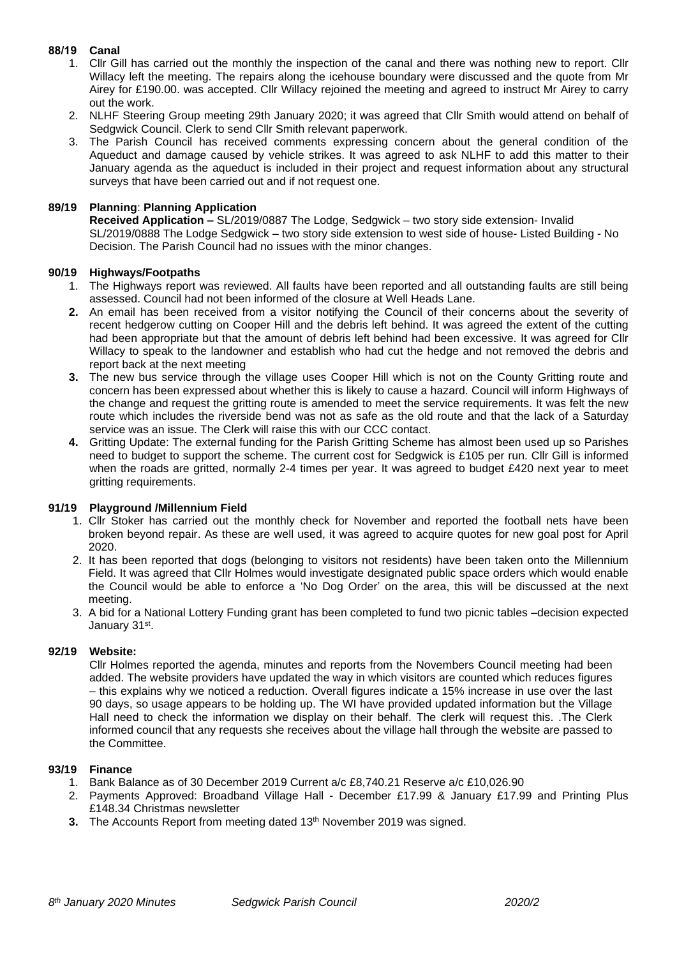# **88/19 Canal**

- 1. Cllr Gill has carried out the monthly the inspection of the canal and there was nothing new to report. Cllr Willacy left the meeting. The repairs along the icehouse boundary were discussed and the quote from Mr Airey for £190.00. was accepted. Cllr Willacy rejoined the meeting and agreed to instruct Mr Airey to carry out the work.
- 2. NLHF Steering Group meeting 29th January 2020; it was agreed that Cllr Smith would attend on behalf of Sedgwick Council. Clerk to send Cllr Smith relevant paperwork.
- 3. The Parish Council has received comments expressing concern about the general condition of the Aqueduct and damage caused by vehicle strikes. It was agreed to ask NLHF to add this matter to their January agenda as the aqueduct is included in their project and request information about any structural surveys that have been carried out and if not request one.

## **89/19 Planning**: **Planning Application**

**Received Application –** SL/2019/0887 The Lodge, Sedgwick – two story side extension- Invalid SL/2019/0888 The Lodge Sedgwick – two story side extension to west side of house- Listed Building - No Decision. The Parish Council had no issues with the minor changes.

## **90/19 Highways/Footpaths**

- 1. The Highways report was reviewed. All faults have been reported and all outstanding faults are still being assessed. Council had not been informed of the closure at Well Heads Lane.
- **2.** An email has been received from a visitor notifying the Council of their concerns about the severity of recent hedgerow cutting on Cooper Hill and the debris left behind. It was agreed the extent of the cutting had been appropriate but that the amount of debris left behind had been excessive. It was agreed for Cllr Willacy to speak to the landowner and establish who had cut the hedge and not removed the debris and report back at the next meeting
- **3.** The new bus service through the village uses Cooper Hill which is not on the County Gritting route and concern has been expressed about whether this is likely to cause a hazard. Council will inform Highways of the change and request the gritting route is amended to meet the service requirements. It was felt the new route which includes the riverside bend was not as safe as the old route and that the lack of a Saturday service was an issue. The Clerk will raise this with our CCC contact.
- **4.** Gritting Update: The external funding for the Parish Gritting Scheme has almost been used up so Parishes need to budget to support the scheme. The current cost for Sedgwick is £105 per run. Cllr Gill is informed when the roads are gritted, normally 2-4 times per year. It was agreed to budget £420 next year to meet gritting requirements.

## **91/19 Playground /Millennium Field**

- 1. Cllr Stoker has carried out the monthly check for November and reported the football nets have been broken beyond repair. As these are well used, it was agreed to acquire quotes for new goal post for April 2020.
- 2. It has been reported that dogs (belonging to visitors not residents) have been taken onto the Millennium Field. It was agreed that Cllr Holmes would investigate designated public space orders which would enable the Council would be able to enforce a 'No Dog Order' on the area, this will be discussed at the next meeting.
- 3. A bid for a National Lottery Funding grant has been completed to fund two picnic tables –decision expected January 31st .

## **92/19 Website:**

Cllr Holmes reported the agenda, minutes and reports from the Novembers Council meeting had been added. The website providers have updated the way in which visitors are counted which reduces figures – this explains why we noticed a reduction. Overall figures indicate a 15% increase in use over the last 90 days, so usage appears to be holding up. The WI have provided updated information but the Village Hall need to check the information we display on their behalf. The clerk will request this. .The Clerk informed council that any requests she receives about the village hall through the website are passed to the Committee.

#### **93/19 Finance**

- 1. Bank Balance as of 30 December 2019 Current a/c £8,740.21 Reserve a/c £10,026.90
- 2. Payments Approved: Broadband Village Hall December £17.99 & January £17.99 and Printing Plus £148.34 Christmas newsletter
- **3.** The Accounts Report from meeting dated 13<sup>th</sup> November 2019 was signed.